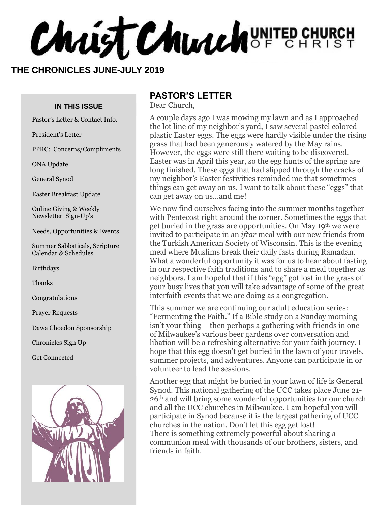**Christ Church** UNITED CHURCH

#### **THE CHRONICLES JUNE-JULY 2019**

#### **IN THIS ISSUE**

Pastor's Letter & Contact Info.

President's Letter

PPRC: Concerns/Compliments

ONA Update

General Synod

Easter Breakfast Update

Online Giving & Weekly Newsletter Sign-Up's

Needs, Opportunities & Events

Summer Sabbaticals, Scripture Calendar & Schedules

Birthdays

Thanks

Congratulations

Prayer Requests

Dawa Choedon Sponsorship

Chronicles Sign Up

Get Connected



#### **PASTOR'S LETTER**

Dear Church,

A couple days ago I was mowing my lawn and as I approached the lot line of my neighbor's yard, I saw several pastel colored plastic Easter eggs. The eggs were hardly visible under the rising grass that had been generously watered by the May rains. However, the eggs were still there waiting to be discovered. Easter was in April this year, so the egg hunts of the spring are long finished. These eggs that had slipped through the cracks of my neighbor's Easter festivities reminded me that sometimes things can get away on us. I want to talk about these "eggs" that can get away on us…and me!

We now find ourselves facing into the summer months together with Pentecost right around the corner. Sometimes the eggs that get buried in the grass are opportunities. On May 19<sup>th</sup> we were invited to participate in an *iftar* meal with our new friends from the Turkish American Society of Wisconsin. This is the evening meal where Muslims break their daily fasts during Ramadan. What a wonderful opportunity it was for us to hear about fasting in our respective faith traditions and to share a meal together as neighbors. I am hopeful that if this "egg" got lost in the grass of your busy lives that you will take advantage of some of the great interfaith events that we are doing as a congregation.

This summer we are continuing our adult education series: "Fermenting the Faith." If a Bible study on a Sunday morning isn't your thing – then perhaps a gathering with friends in one of Milwaukee's various beer gardens over conversation and libation will be a refreshing alternative for your faith journey. I hope that this egg doesn't get buried in the lawn of your travels, summer projects, and adventures. Anyone can participate in or volunteer to lead the sessions.

Another egg that might be buried in your lawn of life is General Synod. This national gathering of the UCC takes place June 21- 26th and will bring some wonderful opportunities for our church and all the UCC churches in Milwaukee. I am hopeful you will participate in Synod because it is the largest gathering of UCC churches in the nation. Don't let this egg get lost! There is something extremely powerful about sharing a communion meal with thousands of our brothers, sisters, and friends in faith.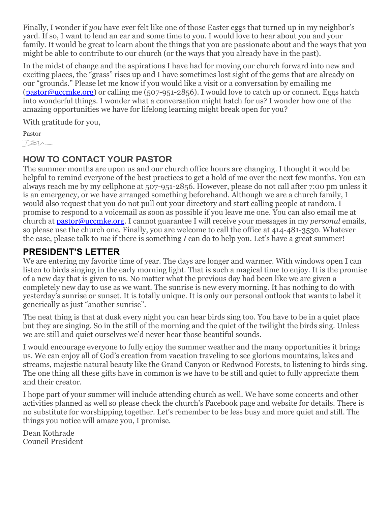Finally, I wonder if *you* have ever felt like one of those Easter eggs that turned up in my neighbor's yard. If so, I want to lend an ear and some time to you. I would love to hear about you and your family. It would be great to learn about the things that you are passionate about and the ways that you might be able to contribute to our church (or the ways that you already have in the past).

In the midst of change and the aspirations I have had for moving our church forward into new and exciting places, the "grass" rises up and I have sometimes lost sight of the gems that are already on our "grounds." Please let me know if you would like a visit or a conversation by emailing me [\(pastor@uccmke.org\)](mailto:pastor@uccmke.org) or calling me (507-951-2856). I would love to catch up or connect. Eggs hatch into wonderful things. I wonder what a conversation might hatch for us? I wonder how one of the amazing opportunities we have for lifelong learning might break open for you?

With gratitude for you,

Pastor  $780-$ 

## **HOW TO CONTACT YOUR PASTOR**

The summer months are upon us and our church office hours are changing. I thought it would be helpful to remind everyone of the best practices to get a hold of me over the next few months. You can always reach me by my cellphone at 507-951-2856. However, please do not call after 7:00 pm unless it is an emergency, or we have arranged something beforehand. Although we are a church family, I would also request that you do not pull out your directory and start calling people at random. I promise to respond to a voicemail as soon as possible if you leave me one. You can also email me at church at [pastor@uccmke.org.](mailto:pastor@uccmke.org) I cannot guarantee I will receive your messages in my *personal* emails, so please use the church one. Finally, you are welcome to call the office at 414-481-3530. Whatever the case, please talk to *me* if there is something *I* can do to help you. Let's have a great summer!

## **PRESIDENT'S LETTER**

We are entering my favorite time of year. The days are longer and warmer. With windows open I can listen to birds singing in the early morning light. That is such a magical time to enjoy. It is the promise of a new day that is given to us. No matter what the previous day had been like we are given a completely new day to use as we want. The sunrise is new every morning. It has nothing to do with yesterday's sunrise or sunset. It is totally unique. It is only our personal outlook that wants to label it generically as just "another sunrise".

The neat thing is that at dusk every night you can hear birds sing too. You have to be in a quiet place but they are singing. So in the still of the morning and the quiet of the twilight the birds sing. Unless we are still and quiet ourselves we'd never hear those beautiful sounds.

I would encourage everyone to fully enjoy the summer weather and the many opportunities it brings us. We can enjoy all of God's creation from vacation traveling to see glorious mountains, lakes and streams, majestic natural beauty like the Grand Canyon or Redwood Forests, to listening to birds sing. The one thing all these gifts have in common is we have to be still and quiet to fully appreciate them and their creator.

I hope part of your summer will include attending church as well. We have some concerts and other activities planned as well so please check the church's Facebook page and website for details. There is no substitute for worshipping together. Let's remember to be less busy and more quiet and still. The things you notice will amaze you, I promise.

Dean Kothrade Council President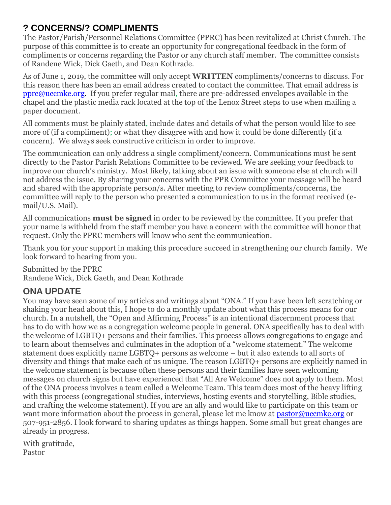## **? CONCERNS/? COMPLIMENTS**

The Pastor/Parish/Personnel Relations Committee (PPRC) has been revitalized at Christ Church. The purpose of this committee is to create an opportunity for congregational feedback in the form of compliments or concerns regarding the Pastor or any church staff member. The committee consists of Randene Wick, Dick Gaeth, and Dean Kothrade.

As of June 1, 2019, the committee will only accept **WRITTEN** compliments/concerns to discuss. For this reason there has been an email address created to contact the committee. That email address is [pprc@uccmke.org.](mailto:pprc@uccmke.org) If you prefer regular mail, there are pre-addressed envelopes available in the chapel and the plastic media rack located at the top of the Lenox Street steps to use when mailing a paper document.

All comments must be plainly stated, include dates and details of what the person would like to see more of (if a compliment); or what they disagree with and how it could be done differently (if a concern). We always seek constructive criticism in order to improve.

The communication can only address a single compliment/concern. Communications must be sent directly to the Pastor Parish Relations Committee to be reviewed. We are seeking your feedback to improve our church's ministry. Most likely, talking about an issue with someone else at church will not address the issue. By sharing your concerns with the PPR Committee your message will be heard and shared with the appropriate person/s. After meeting to review compliments/concerns, the committee will reply to the person who presented a communication to us in the format received (email/U.S. Mail).

All communications **must be signed** in order to be reviewed by the committee. If you prefer that your name is withheld from the staff member you have a concern with the committee will honor that request. Only the PPRC members will know who sent the communication.

Thank you for your support in making this procedure succeed in strengthening our church family. We look forward to hearing from you.

Submitted by the PPRC Randene Wick, Dick Gaeth, and Dean Kothrade

## **ONA UPDATE**

You may have seen some of my articles and writings about "ONA." If you have been left scratching or shaking your head about this, I hope to do a monthly update about what this process means for our church. In a nutshell, the "Open and Affirming Process" is an intentional discernment process that has to do with how we as a congregation welcome people in general. ONA specifically has to deal with the welcome of LGBTQ+ persons and their families. This process allows congregations to engage and to learn about themselves and culminates in the adoption of a "welcome statement." The welcome statement does explicitly name LGBTQ+ persons as welcome – but it also extends to all sorts of diversity and things that make each of us unique. The reason LGBTQ+ persons are explicitly named in the welcome statement is because often these persons and their families have seen welcoming messages on church signs but have experienced that "All Are Welcome" does not apply to them. Most of the ONA process involves a team called a Welcome Team. This team does most of the heavy lifting with this process (congregational studies, interviews, hosting events and storytelling, Bible studies, and crafting the welcome statement). If you are an ally and would like to participate on this team or want more information about the process in general, please let me know at [pastor@uccmke.org](mailto:pastor@uccmke.org) or 507-951-2856. I look forward to sharing updates as things happen. Some small but great changes are already in progress.

With gratitude, Pastor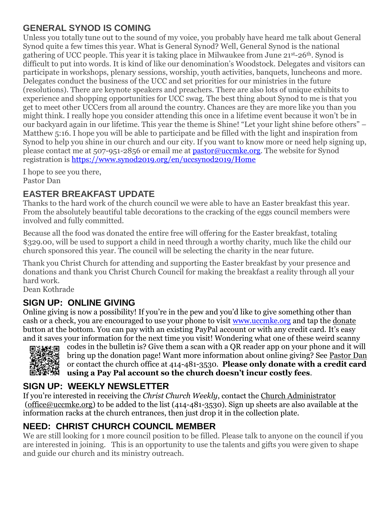## **GENERAL SYNOD IS COMING**

Unless you totally tune out to the sound of my voice, you probably have heard me talk about General Synod quite a few times this year. What is General Synod? Well, General Synod is the national gathering of UCC people. This year it is taking place in Milwaukee from June 21st-26th. Synod is difficult to put into words. It is kind of like our denomination's Woodstock. Delegates and visitors can participate in workshops, plenary sessions, worship, youth activities, banquets, luncheons and more. Delegates conduct the business of the UCC and set priorities for our ministries in the future (resolutions). There are keynote speakers and preachers. There are also lots of unique exhibits to experience and shopping opportunities for UCC swag. The best thing about Synod to me is that you get to meet other UCCers from all around the country. Chances are they are more like you than you might think. I really hope you consider attending this once in a lifetime event because it won't be in our backyard again in our lifetime. This year the theme is Shine! "Let your light shine before others" – Matthew 5:16. I hope you will be able to participate and be filled with the light and inspiration from Synod to help you shine in our church and our city. If you want to know more or need help signing up, please contact me at 507-951-2856 or email me at [pastor@uccmke.org.](mailto:pastor@uccmke.org) The website for Synod registration is<https://www.synod2019.org/en/uccsynod2019/Home>

I hope to see you there, Pastor Dan

## **EASTER BREAKFAST UPDATE**

Thanks to the hard work of the church council we were able to have an Easter breakfast this year. From the absolutely beautiful table decorations to the cracking of the eggs council members were involved and fully committed.

Because all the food was donated the entire free will offering for the Easter breakfast, totaling \$329.00, will be used to support a child in need through a worthy charity, much like the child our church sponsored this year. The council will be selecting the charity in the near future.

Thank you Christ Church for attending and supporting the Easter breakfast by your presence and donations and thank you Christ Church Council for making the breakfast a reality through all your hard work.

Dean Kothrade

## **SIGN UP: ONLINE GIVING**

Online giving is now a possibility! If you're in the pew and you'd like to give something other than cash or a check, you are encouraged to use your phone to visit [www.uccmke.org](http://www.uccmke.org/) and tap the [donate](https://www.paypal.com/cgi-bin/webscr?cmd=_s-xclick&hosted_button_id=D7W2VTZZBHZNU) button at the bottom. You can pay with an existing PayPal account or with any credit card. It's easy and it saves your information for the next time you visit! Wondering what one of these weird scanny



codes in the bulletin is? Give them a scan with a QR reader app on your phone and it will bring up the donation page! Want more information about online giving? See [Pastor Dan](mailto:dan_stark@att.net) or contact the church office at 414-481-3530. **Please only donate with a credit card using a Pay Pal account so the church doesn't incur costly fees**.

## **SIGN UP: WEEKLY NEWSLETTER**

If you're interested in receiving the *Christ Church Weekly*, contact the [Church Administrator](mailto:christ-church@att.net) (office@uccmke.org) to be added to the list (414-481-3530). Sign up sheets are also available at the information racks at the church entrances, then just drop it in the collection plate.

## **NEED: CHRIST CHURCH COUNCIL MEMBER**

We are still looking for 1 more council position to be filled. Please talk to anyone on the council if you are interested in joining. This is an opportunity to use the talents and gifts you were given to shape and guide our church and its ministry outreach.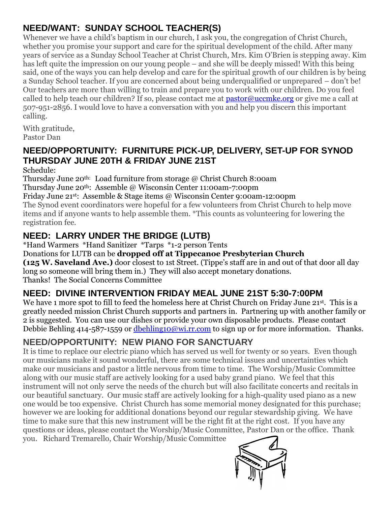## **NEED/WANT: SUNDAY SCHOOL TEACHER(S)**

Whenever we have a child's baptism in our church, I ask you, the congregation of Christ Church, whether you promise your support and care for the spiritual development of the child. After many years of service as a Sunday School Teacher at Christ Church, Mrs. Kim O'Brien is stepping away. Kim has left quite the impression on our young people – and she will be deeply missed! With this being said, one of the ways you can help develop and care for the spiritual growth of our children is by being a Sunday School teacher. If you are concerned about being underqualified or unprepared – don't be! Our teachers are more than willing to train and prepare you to work with our children. Do you feel called to help teach our children? If so, please contact me at  $\text{pastor@uccmke.org}$  or give me a call at 507-951-2856. I would love to have a conversation with you and help you discern this important calling.

With gratitude, Pastor Dan

## **NEED/OPPORTUNITY: FURNITURE PICK-UP, DELIVERY, SET-UP FOR SYNOD THURSDAY JUNE 20TH & FRIDAY JUNE 21ST**

Schedule:

Thursday June 20th: Load furniture from storage @ Christ Church 8:00am

Thursday June 20th: Assemble @ Wisconsin Center 11:00am-7:00pm

Friday June 21st: Assemble & Stage items @ Wisconsin Center 9:00am-12:00pm

The Synod event coordinators were hopeful for a few volunteers from Christ Church to help move items and if anyone wants to help assemble them. \*This counts as volunteering for lowering the registration fee.

## **NEED: LARRY UNDER THE BRIDGE (LUTB)**

\*Hand Warmers \*Hand Sanitizer \*Tarps \*1-2 person Tents

Donations for LUTB can be **dropped off at Tippecanoe Presbyterian Church**

**(125 W. Saveland Ave.)** door closest to 1st Street. (Tippe's staff are in and out of that door all day long so someone will bring them in.) They will also accept monetary donations. Thanks! The Social Concerns Committee

## **NEED: DIVINE INTERVENTION FRIDAY MEAL JUNE 21ST 5:30-7:00PM**

We have 1 more spot to fill to feed the homeless here at Christ Church on Friday June 21st. This is a greatly needed mission Christ Church supports and partners in. Partnering up with another family or 2 is suggested. You can use our dishes or provide your own disposable products. Please contact Debbie Behling 414-587-1559 or [dbehling10@wi.rr.com](mailto:dbehling10@wi.rr.com) to sign up or for more information. Thanks.

## **NEED/OPPORTUNITY: NEW PIANO FOR SANCTUARY**

It is time to replace our electric piano which has served us well for twenty or so years. Even though our musicians make it sound wonderful, there are some technical issues and uncertainties which make our musicians and pastor a little nervous from time to time. The Worship/Music Committee along with our music staff are actively looking for a used baby grand piano. We feel that this instrument will not only serve the needs of the church but will also facilitate concerts and recitals in our beautiful sanctuary. Our music staff are actively looking for a high-quality used piano as a new one would be too expensive. Christ Church has some memorial money designated for this purchase; however we are looking for additional donations beyond our regular stewardship giving. We have time to make sure that this new instrument will be the right fit at the right cost. If you have any questions or ideas, please contact the Worship/Music Committee, Pastor Dan or the office. Thank you. Richard Tremarello, Chair Worship/Music Committee

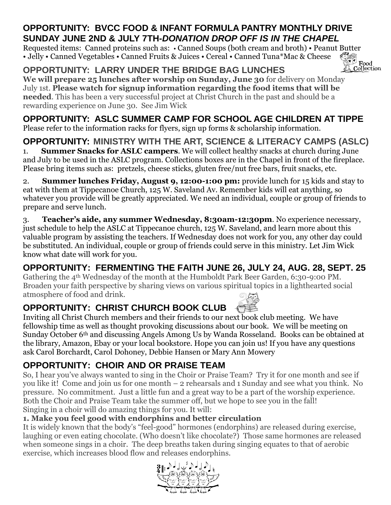## **OPPORTUNITY: BVCC FOOD & INFANT FORMULA PANTRY MONTHLY DRIVE SUNDAY JUNE 2ND & JULY 7TH-***DONATION DROP OFF IS IN THE CHAPEL*

Requested items: Canned proteins such as: • Canned Soups (both cream and broth) • Peanut Butter<br>• Jelly • Canned Vegetables • Canned Fruits & Juices • Cereal • Canned Tuna\*Mac & Cheese<br>Collection • Jelly • Canned Vegetables • Canned Fruits & Juices • Cereal • Canned Tuna\*Mac & Cheese

**OPPORTUNITY: LARRY UNDER THE BRIDGE BAG LUNCHES We will prepare 25 lunches after worship on Sunday, June 30** for delivery on Monday July 1st. **Please watch for signup information regarding the food items that will be needed**. This has been a very successful project at Christ Church in the past and should be a rewarding experience on June 30. See Jim Wick

**OPPORTUNITY: ASLC SUMMER CAMP FOR SCHOOL AGE CHILDREN AT TIPPE** Please refer to the information racks for flyers, sign up forms & scholarship information.

**OPPORTUNITY: MINISTRY WITH THE ART, SCIENCE & LITERACY CAMPS (ASLC)** 1. **Summer Snacks for ASLC campers**. We will collect healthy snacks at church during June and July to be used in the ASLC program. Collections boxes are in the Chapel in front of the fireplace. Please bring items such as: pretzels, cheese sticks, gluten free/nut free bars, fruit snacks, etc.

2. **Summer lunches Friday, August 9, 12:00-1:00 pm:** provide lunch for 15 kids and stay to eat with them at Tippecanoe Church, 125 W. Saveland Av. Remember kids will eat anything, so whatever you provide will be greatly appreciated. We need an individual, couple or group of friends to prepare and serve lunch.

3. **Teacher's aide, any summer Wednesday, 8:30am-12:30pm**. No experience necessary, just schedule to help the ASLC at Tippecanoe church, 125 W. Saveland, and learn more about this valuable program by assisting the teachers. If Wednesday does not work for you, any other day could be substituted. An individual, couple or group of friends could serve in this ministry. Let Jim Wick know what date will work for you.

# **OPPORTUNITY: FERMENTING THE FAITH JUNE 26, JULY 24, AUG. 28, SEPT. 25**

Gathering the 4th Wednesday of the month at the Humboldt Park Beer Garden, 6:30-9:00 PM. Broaden your faith perspective by sharing views on various spiritual topics in a lighthearted social atmosphere of food and drink.

# **OPPORTUNITY: CHRIST CHURCH BOOK CLUB**

Inviting all Christ Church members and their friends to our next book club meeting. We have fellowship time as well as thought provoking discussions about our book. We will be meeting on Sunday October 6th and discussing Angels Among Us by Wanda Rosseland. Books can be obtained at the library, Amazon, Ebay or your local bookstore. Hope you can join us! If you have any questions ask Carol Borchardt, Carol Dohoney, Debbie Hansen or Mary Ann Mowery

# **OPPORTUNITY: CHOIR AND OR PRAISE TEAM**

So, I hear you've always wanted to sing in the Choir or Praise Team? Try it for one month and see if you like it! Come and join us for one month – 2 rehearsals and 1 Sunday and see what you think. No pressure. No commitment. Just a little fun and a great way to be a part of the worship experience. Both the Choir and Praise Team take the summer off, but we hope to see you in the fall! Singing in a choir will do amazing things for you. It will:

## **1. Make you feel good with endorphins and better circulation**

It is widely known that the body's "feel-good" hormones (endorphins) are released during exercise, laughing or even eating chocolate. (Who doesn't like chocolate?) Those same hormones are released when someone sings in a choir. The deep breaths taken during singing equates to that of aerobic exercise, which increases blood flow and releases endorphins.





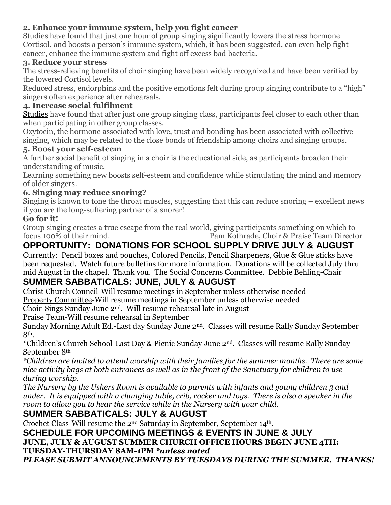#### **2. Enhance your immune system, help you fight cancer**

Studies have found that just one hour of group singing significantly lowers the stress hormone Cortisol, and boosts a person's immune system, which, it has been suggested, can even help fight cancer, enhance the immune system and fight off excess bad bacteria.

#### **3. Reduce your stress**

The stress-relieving benefits of choir singing have been widely recognized and have been verified by the lowered Cortisol levels.

Reduced stress, endorphins and the positive emotions felt during group singing contribute to a "high" singers often experience after rehearsals.

#### **4. Increase social fulfilment**

[Studies](http://rsos.royalsocietypublishing.org/content/2/10/150221) have found that after just one group singing class, participants feel closer to each other than when participating in other group classes.

Oxytocin, the hormone associated with love, trust and bonding has been associated with collective singing, which may be related to the close bonds of friendship among choirs and singing groups.

#### **5. Boost your self-esteem**

A further social benefit of singing in a choir is the educational side, as participants broaden their understanding of music.

Learning something new boosts self-esteem and confidence while stimulating the mind and memory of older singers.

#### **6. Singing may reduce snoring?**

Singing is known to tone the throat muscles, suggesting that this can reduce snoring – excellent news if you are the long-suffering partner of a snorer!

#### **Go for it!**

Group singing creates a true escape from the real world, giving participants something on which to focus 100% of their mind. Pam Kothrade, Choir & Praise Team Director

## **OPPORTUNITY: DONATIONS FOR SCHOOL SUPPLY DRIVE JULY & AUGUST**

Currently: Pencil boxes and pouches, Colored Pencils, Pencil Sharpeners, Glue & Glue sticks have been requested. Watch future bulletins for more information. Donations will be collected July thru mid August in the chapel. Thank you. The Social Concerns Committee. Debbie Behling-Chair

## **SUMMER SABBATICALS: JUNE, JULY & AUGUST**

Christ Church Council-Will resume meetings in September unless otherwise needed

Property Committee-Will resume meetings in September unless otherwise needed

Choir-Sings Sunday June 2nd. Will resume rehearsal late in August

Praise Team-Will resume rehearsal in September

Sunday Morning Adult Ed.-Last day Sunday June 2nd. Classes will resume Rally Sunday September 8th.

\*Children's Church School-Last Day & Picnic Sunday June 2nd. Classes will resume Rally Sunday September 8th

*\*Children are invited to attend worship with their families for the summer months. There are some nice activity bags at both entrances as well as in the front of the Sanctuary for children to use during worship.*

*The Nursery by the Ushers Room is available to parents with infants and young children 3 and under. It is equipped with a changing table, crib, rocker and toys. There is also a speaker in the room to allow you to hear the service while in the Nursery with your child.*

## **SUMMER SABBATICALS: JULY & AUGUST**

Crochet Class-Will resume the 2nd Saturday in September, September 14th.

**SCHEDULE FOR UPCOMING MEETINGS & EVENTS IN JUNE & JULY JUNE, JULY & AUGUST SUMMER CHURCH OFFICE HOURS BEGIN JUNE 4TH: TUESDAY-THURSDAY 8AM-1PM** *\*unless noted*

*PLEASE SUBMIT ANNOUNCEMENTS BY TUESDAYS DURING THE SUMMER. THANKS!*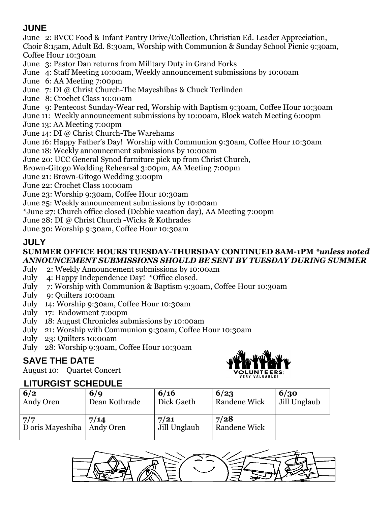## **JUNE**

June 2: BVCC Food & Infant Pantry Drive/Collection, Christian Ed. Leader Appreciation, Choir 8:15am, Adult Ed. 8:30am, Worship with Communion & Sunday School Picnic 9:30am, Coffee Hour 10:30am

- June 3: Pastor Dan returns from Military Duty in Grand Forks
- June 4: Staff Meeting 10:00am, Weekly announcement submissions by 10:00am
- June 6: AA Meeting 7:00pm
- June 7: DI @ Christ Church-The Mayeshibas & Chuck Terlinden
- June 8: Crochet Class 10:00am
- June 9: Pentecost Sunday-Wear red, Worship with Baptism 9:30am, Coffee Hour 10:30am
- June 11: Weekly announcement submissions by 10:00am, Block watch Meeting 6:00pm
- June 13: AA Meeting 7:00pm
- June 14: DI @ Christ Church-The Warehams
- June 16: Happy Father's Day! Worship with Communion 9:30am, Coffee Hour 10:30am
- June 18: Weekly announcement submissions by 10:00am
- June 20: UCC General Synod furniture pick up from Christ Church,
- Brown-Gitogo Wedding Rehearsal 3:00pm, AA Meeting 7:00pm
- June 21: Brown-Gitogo Wedding 3:00pm
- June 22: Crochet Class 10:00am
- June 23: Worship 9:30am, Coffee Hour 10:30am
- June 25: Weekly announcement submissions by 10:00am
- \*June 27: Church office closed (Debbie vacation day), AA Meeting 7:00pm
- June 28: DI @ Christ Church -Wicks & Kothrades
- June 30: Worship 9:30am, Coffee Hour 10:30am

## **JULY**

#### **SUMMER OFFICE HOURS TUESDAY-THURSDAY CONTINUED 8AM-1PM** *\*unless noted ANNOUNCEMENT SUBMISSIONS SHOULD BE SENT BY TUESDAY DURING SUMMER*

- July 2: Weekly Announcement submissions by 10:00am
- July 4: Happy Independence Day! \*Office closed.
- July 7: Worship with Communion & Baptism 9:30am, Coffee Hour 10:30am
- July 9: Quilters 10:00am
- July 14: Worship 9:30am, Coffee Hour 10:30am
- July 17: Endowment 7:00pm
- July 18: August Chronicles submissions by 10:00am
- July 21: Worship with Communion 9:30am, Coffee Hour 10:30am
- July 23: Quilters 10:00am
- July 28: Worship 9:30am, Coffee Hour 10:30am

## **SAVE THE DATE**

August 10: Quartet Concert



## **LITURGIST SCHEDULE**

| EN SINSIST SSIIEPSEE    |                   |                      |                             |              |
|-------------------------|-------------------|----------------------|-----------------------------|--------------|
| 6/2                     | 6/9               | 6/16                 | 6/23                        | 6/30         |
| Andy Oren               | Dean Kothrade     | Dick Gaeth           | <b>Randene Wick</b>         | Jill Unglaub |
| 7/7<br>D oris Mayeshiba | 7/14<br>Andy Oren | 7/21<br>Jill Unglaub | 7/28<br><b>Randene Wick</b> |              |
|                         |                   |                      |                             |              |

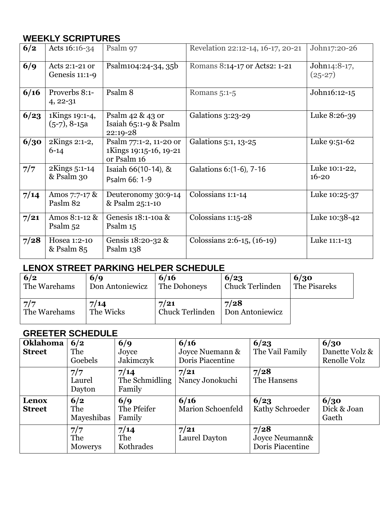## **WEEKLY SCRIPTURES**

| 6/2  | Acts 16:16-34                      | Psalm 97                                                        | Revelation 22:12-14, 16-17, 20-21 | John17:20-26               |
|------|------------------------------------|-----------------------------------------------------------------|-----------------------------------|----------------------------|
| 6/9  | Acts 2:1-21 or<br>Genesis $11:1-9$ | Psalm104:24-34, 35b                                             | Romans 8:14-17 or Acts2: 1-21     | John14:8-17,<br>$(25-27)$  |
| 6/16 | Proverbs 8:1-<br>$4, 22 - 31$      | Psalm 8                                                         | Romans $5:1-5$                    | John16:12-15               |
| 6/23 | 1Kings 19:1-4,<br>$(5-7), 8-15a$   | Psalm 42 & 43 or<br>Isaiah $65:1-9$ & Psalm<br>22:19-28         | Galations 3:23-29                 | Luke 8:26-39               |
| 6/30 | 2Kings 2:1-2,<br>$6 - 14$          | Psalm 77:1-2, 11-20 or<br>1Kings 19:15-16, 19-21<br>or Psalm 16 | Galations 5:1, 13-25              | Luke 9:51-62               |
| 7/7  | 2Kings 5:1-14<br>& Psalm 30        | Isaiah 66(10-14), &<br>Psalm 66: 1-9                            | Galations 6: (1-6), 7-16          | Luke 10:1-22,<br>$16 - 20$ |
| 7/14 | Amos 7:7-17 $\&$<br>Paslm 82       | Deuteronomy 30:9-14<br>& Psalm 25:1-10                          | Colossians 1:1-14                 | Luke 10:25-37              |
| 7/21 | Amos 8:1-12 &<br>Psalm 52          | Genesis 18:1-10a &<br>Psalm 15                                  | Colossians 1:15-28                | Luke 10:38-42              |
| 7/28 | Hosea 1:2-10<br>& Psalm 85         | Gensis $18:20-32$ &<br>Psalm $138$                              | Colossians 2:6-15, (16-19)        | Luke 11:1-13               |

## **LENOX STREET PARKING HELPER SCHEDULE**

| 6/2          | 6/q             | 6/16                   | 6/23                   | 6/30         |
|--------------|-----------------|------------------------|------------------------|--------------|
| The Warehams | Don Antoniewicz | The Dohoneys           | <b>Chuck Terlinden</b> | The Pisareks |
| 7/7          | 7/14            | 7/21                   | 7/28                   |              |
| The Warehams | The Wicks       | <b>Chuck Terlinden</b> | Don Antoniewicz        |              |

## **GREETER SCHEDULE**

| <b>Oklahoma</b><br><b>Street</b> | 6/2<br>The<br>Goebels    | 6/9<br>Joyce<br>Jakimczyk        | 6/16<br>Joyce Nuemann &<br>Doris Piacentine | 6/23<br>The Vail Family                    | 6/30<br>Danette Volz &<br>Renolle Volz |
|----------------------------------|--------------------------|----------------------------------|---------------------------------------------|--------------------------------------------|----------------------------------------|
|                                  | 7/7<br>Laurel<br>Dayton  | 7/14<br>The Schmidling<br>Family | 7/21<br>Nancy Jonokuchi                     | 7/28<br>The Hansens                        |                                        |
| Lenox<br><b>Street</b>           | 6/2<br>The<br>Mayeshibas | 6/q<br>The Pfeifer<br>Family     | 6/16<br><b>Marion Schoenfeld</b>            | 6/23<br>Kathy Schroeder                    | 6/30<br>Dick & Joan<br>Gaeth           |
|                                  | 7/7<br>The<br>Mowerys    | 7/14<br>The<br>Kothrades         | 7/21<br>Laurel Dayton                       | 7/28<br>Joyce Neumann&<br>Doris Piacentine |                                        |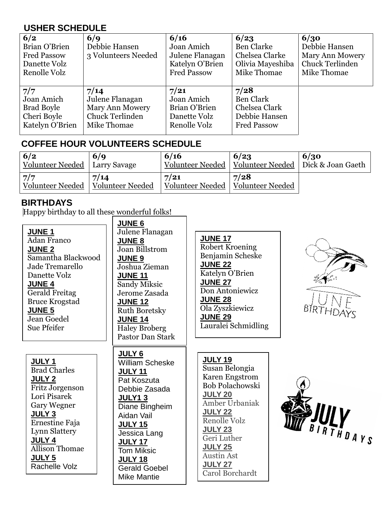## **USHER SCHEDULE**

| 6/2<br>Brian O'Brien<br><b>Fred Passow</b><br>Danette Volz<br>Renolle Volz | 6/q<br>Debbie Hansen<br>3 Volunteers Needed | 6/16<br>Joan Amich<br>Julene Flanagan<br>Katelyn O'Brien<br><b>Fred Passow</b> | 6/23<br><b>Ben Clarke</b><br>Chelsea Clarke<br>Olivia Mayeshiba<br>Mike Thomae | 6/30<br>Debbie Hansen<br><b>Mary Ann Mowery</b><br><b>Chuck Terlinden</b><br>Mike Thomae |
|----------------------------------------------------------------------------|---------------------------------------------|--------------------------------------------------------------------------------|--------------------------------------------------------------------------------|------------------------------------------------------------------------------------------|
| 7/7                                                                        | 7/14                                        | 7/21                                                                           | 7/28                                                                           |                                                                                          |
| Joan Amich                                                                 | Julene Flanagan                             | Joan Amich                                                                     | <b>Ben Clark</b>                                                               |                                                                                          |
| <b>Brad Boyle</b>                                                          | Mary Ann Mowery                             | Brian O'Brien                                                                  | Chelsea Clark                                                                  |                                                                                          |
| Cheri Boyle                                                                | <b>Chuck Terlinden</b>                      | Danette Volz                                                                   | Debbie Hansen                                                                  |                                                                                          |
| Katelyn O'Brien                                                            | Mike Thomae                                 | Renolle Volz                                                                   | <b>Fred Passow</b>                                                             |                                                                                          |

## **COFFEE HOUR VOLUNTEERS SCHEDULE**

| 6/2<br>Volunteer Needed   Larry Savage | 6/q              | 6/16             | 6/23<br>Volunteer Needed   Volunteer Needed   Dick & Joan Gaeth | 6/30 |
|----------------------------------------|------------------|------------------|-----------------------------------------------------------------|------|
| 7/7                                    | 7/14             | 7/21             | 7/28                                                            |      |
| Volunteer Needed                       | Volunteer Needed | Volunteer Needed | Volunteer Needed                                                |      |

## **BIRTHDAYS**

Ernestine Faja Lynn Slattery

Allison Thomae

Rachelle Volz

**JULY 4**

**JULY 5**

Happy birthday to all these wonderful folks!  $\sqrt{I}$  JUNE 6

|                                                                                                                                                                                                                                 | <b>UUITLU</b>                                                                                                                                                                                                               |                                                                                                                                                                                                                      |
|---------------------------------------------------------------------------------------------------------------------------------------------------------------------------------------------------------------------------------|-----------------------------------------------------------------------------------------------------------------------------------------------------------------------------------------------------------------------------|----------------------------------------------------------------------------------------------------------------------------------------------------------------------------------------------------------------------|
| <b>JUNE 1</b><br><b>Adan Franco</b><br><b>JUNE 2</b><br>Samantha Blackwood<br>Jade Tremarello<br>Danette Volz<br><b>JUNE 4</b><br><b>Gerald Freitag</b><br><b>Bruce Krogstad</b><br><b>JUNE 5</b><br>Jean Goedel<br>Sue Pfeifer | Julene Flanagan<br><b>JUNE 8</b><br>Joan Billstrom<br><b>JUNE 9</b><br>Joshua Zieman<br><b>JUNE 11</b><br>Sandy Miksic<br>Jerome Zasada<br><b>JUNE 12</b><br><b>Ruth Boretsky</b><br><b>JUNE 14</b><br><b>Haley Broberg</b> | <b>JUNE 17</b><br><b>Robert Kroening</b><br>Benjamin Scheske<br><b>JUNE 22</b><br>Katelyn O'Brien<br><b>JUNE 27</b><br>Don Antoniewicz<br><b>JUNE 28</b><br>Ola Zyszkiewicz<br><b>JUNE 29</b><br>Lauralei Schmidling |
| JULY <sub>1</sub><br><b>Brad Charles</b><br><b>JULY 2</b><br>Fritz Jorgenson<br>Lori Pisarek<br><b>Gary Wegner</b><br><b>JULY 3</b>                                                                                             | <b>Pastor Dan Stark</b><br><b>JULY 6</b><br><b>William Scheske</b><br><b>JULY 11</b><br>Pat Koszuta<br>Debbie Zasada<br><b>JULY13</b><br>Diane Bingheim<br>Aidan Vail                                                       | <b>JULY 19</b><br>Susan Belongia<br><b>Karen Engstrom</b><br><b>Bob Polachowski</b><br><b>JULY 20</b><br>Amber Urbaniak<br><b>JULY 22</b>                                                                            |

**JULY 15** Jessica Lang **JULY 17** Tom Miksic **JULY 18**

Gerald Goebel Mike Mantie



**JULY 22** Renolle Volz **JULY 23** Geri Luther **JULY 25** Austin Ast **JULY 27** Carol Borchardt

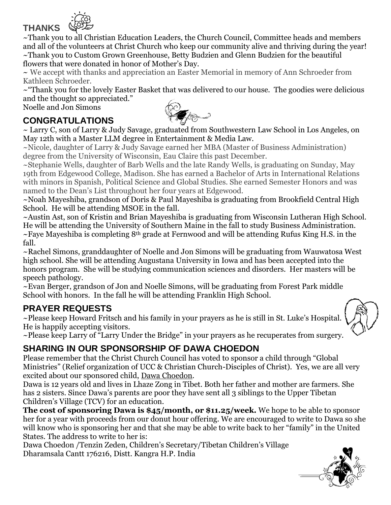

~Thank you to all Christian Education Leaders, the Church Council, Committee heads and members and all of the volunteers at Christ Church who keep our community alive and thriving during the year! ~Thank you to Custom Grown Greenhouse, Betty Budzien and Glenn Budzien for the beautiful flowers that were donated in honor of Mother's Day.

~ We accept with thanks and appreciation an Easter Memorial in memory of Ann Schroeder from Kathleen Schroeder.

~"Thank you for the lovely Easter Basket that was delivered to our house. The goodies were delicious and the thought so appreciated."

Noelle and Jon Simons



**CONGRATULATIONS**

~ Larry C, son of Larry & Judy Savage, graduated from Southwestern Law School in Los Angeles, on May 12th with a Master LLM degree in Entertainment & Media Law.

~Nicole, daughter of Larry & Judy Savage earned her MBA (Master of Business Administration) degree from the University of Wisconsin, Eau Claire this past December.

~Stephanie Wells, daughter of Barb Wells and the late Randy Wells, is graduating on Sunday, May 19th from Edgewood College, Madison. She has earned a Bachelor of Arts in International Relations with minors in Spanish, Political Science and Global Studies. She earned Semester Honors and was named to the Dean's List throughout her four years at Edgewood.

~Noah Mayeshiba, grandson of Doris & Paul Mayeshiba is graduating from Brookfield Central High School. He will be attending MSOE in the fall.

~Austin Ast, son of Kristin and Brian Mayeshiba is graduating from Wisconsin Lutheran High School. He will be attending the University of Southern Maine in the fall to study Business Administration.  $\sim$ Faye Mayeshiba is completing 8<sup>th</sup> grade at Fernwood and will be attending Rufus King H.S. in the fall.

~Rachel Simons, granddaughter of Noelle and Jon Simons will be graduating from Wauwatosa West high school. She will be attending Augustana University in Iowa and has been accepted into the honors program. She will be studying communication sciences and disorders. Her masters will be speech pathology.

~Evan Berger, grandson of Jon and Noelle Simons, will be graduating from Forest Park middle School with honors. In the fall he will be attending Franklin High School.

## **PRAYER REQUESTS**

~Please keep Howard Fritsch and his family in your prayers as he is still in St. Luke's Hospital. He is happily accepting visitors.



~Please keep Larry of "Larry Under the Bridge" in your prayers as he recuperates from surgery.

# **SHARING IN OUR SPONSORSHIP OF DAWA CHOEDON**

Please remember that the Christ Church Council has voted to sponsor a child through "Global Ministries" (Relief organization of UCC & Christian Church-Disciples of Christ). Yes, we are all very excited about our sponsored child, Dawa Choedon.

Dawa is 12 years old and lives in Lhaze Zong in Tibet. Both her father and mother are farmers. She has 2 sisters. Since Dawa's parents are poor they have sent all 3 siblings to the Upper Tibetan Children's Village (TCV) for an education.

**The cost of sponsoring Dawa is \$45/month, or \$11.25/week.** We hope to be able to sponsor her for a year with proceeds from our donut hour offering. We are encouraged to write to Dawa so she will know who is sponsoring her and that she may be able to write back to her "family" in the United States. The address to write to her is:

Dawa Choedon /Tenzin Zeden, Children's Secretary/Tibetan Children's Village Dharamsala Cantt 176216, Distt. Kangra H.P. India